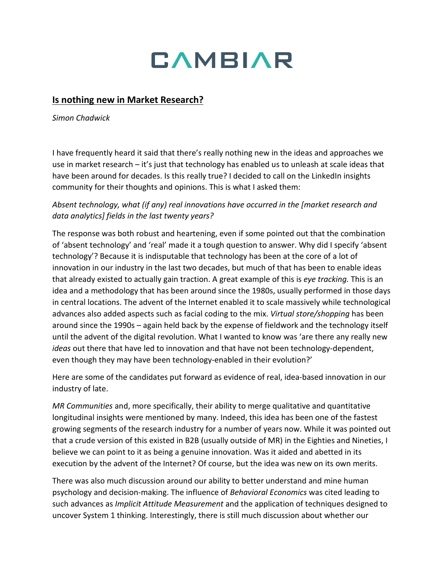## **CAMBIAR**

## **Is nothing new in Market Research?**

*Simon Chadwick*

I have frequently heard it said that there's really nothing new in the ideas and approaches we use in market research – it's just that technology has enabled us to unleash at scale ideas that have been around for decades. Is this really true? I decided to call on the LinkedIn insights community for their thoughts and opinions. This is what I asked them:

*Absent technology, what (if any) real innovations have occurred in the [market research and data analytics] fields in the last twenty years?*

The response was both robust and heartening, even if some pointed out that the combination of 'absent technology' and 'real' made it a tough question to answer. Why did I specify 'absent technology'? Because it is indisputable that technology has been at the core of a lot of innovation in our industry in the last two decades, but much of that has been to enable ideas that already existed to actually gain traction. A great example of this is *eye tracking.* This is an idea and a methodology that has been around since the 1980s, usually performed in those days in central locations. The advent of the Internet enabled it to scale massively while technological advances also added aspects such as facial coding to the mix. *Virtual store/shopping* has been around since the 1990s – again held back by the expense of fieldwork and the technology itself until the advent of the digital revolution. What I wanted to know was 'are there any really new *ideas* out there that have led to innovation and that have not been technology-dependent, even though they may have been technology-enabled in their evolution?'

Here are some of the candidates put forward as evidence of real, idea-based innovation in our industry of late.

*MR Communities* and, more specifically, their ability to merge qualitative and quantitative longitudinal insights were mentioned by many. Indeed, this idea has been one of the fastest growing segments of the research industry for a number of years now. While it was pointed out that a crude version of this existed in B2B (usually outside of MR) in the Eighties and Nineties, I believe we can point to it as being a genuine innovation. Was it aided and abetted in its execution by the advent of the Internet? Of course, but the idea was new on its own merits.

There was also much discussion around our ability to better understand and mine human psychology and decision-making. The influence of *Behavioral Economics* was cited leading to such advances as *Implicit Attitude Measurement* and the application of techniques designed to uncover System 1 thinking. Interestingly, there is still much discussion about whether our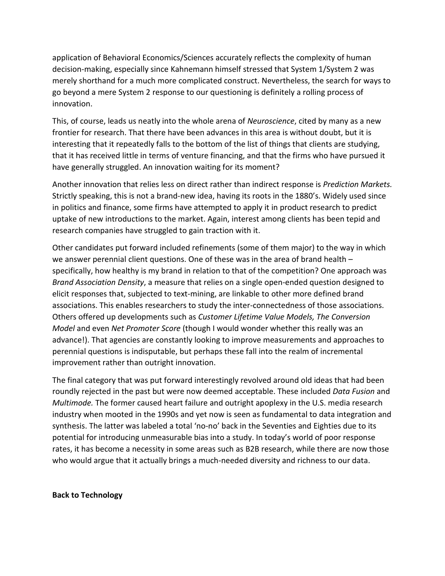application of Behavioral Economics/Sciences accurately reflects the complexity of human decision-making, especially since Kahnemann himself stressed that System 1/System 2 was merely shorthand for a much more complicated construct. Nevertheless, the search for ways to go beyond a mere System 2 response to our questioning is definitely a rolling process of innovation.

This, of course, leads us neatly into the whole arena of *Neuroscience*, cited by many as a new frontier for research. That there have been advances in this area is without doubt, but it is interesting that it repeatedly falls to the bottom of the list of things that clients are studying, that it has received little in terms of venture financing, and that the firms who have pursued it have generally struggled. An innovation waiting for its moment?

Another innovation that relies less on direct rather than indirect response is *Prediction Markets.*  Strictly speaking, this is not a brand-new idea, having its roots in the 1880's. Widely used since in politics and finance, some firms have attempted to apply it in product research to predict uptake of new introductions to the market. Again, interest among clients has been tepid and research companies have struggled to gain traction with it.

Other candidates put forward included refinements (some of them major) to the way in which we answer perennial client questions. One of these was in the area of brand health – specifically, how healthy is my brand in relation to that of the competition? One approach was *Brand Association Density*, a measure that relies on a single open-ended question designed to elicit responses that, subjected to text-mining, are linkable to other more defined brand associations. This enables researchers to study the inter-connectedness of those associations. Others offered up developments such as *Customer Lifetime Value Models, The Conversion Model* and even *Net Promoter Score* (though I would wonder whether this really was an advance!). That agencies are constantly looking to improve measurements and approaches to perennial questions is indisputable, but perhaps these fall into the realm of incremental improvement rather than outright innovation.

The final category that was put forward interestingly revolved around old ideas that had been roundly rejected in the past but were now deemed acceptable. These included *Data Fusion* and *Multimode.* The former caused heart failure and outright apoplexy in the U.S. media research industry when mooted in the 1990s and yet now is seen as fundamental to data integration and synthesis. The latter was labeled a total 'no-no' back in the Seventies and Eighties due to its potential for introducing unmeasurable bias into a study. In today's world of poor response rates, it has become a necessity in some areas such as B2B research, while there are now those who would argue that it actually brings a much-needed diversity and richness to our data.

## **Back to Technology**